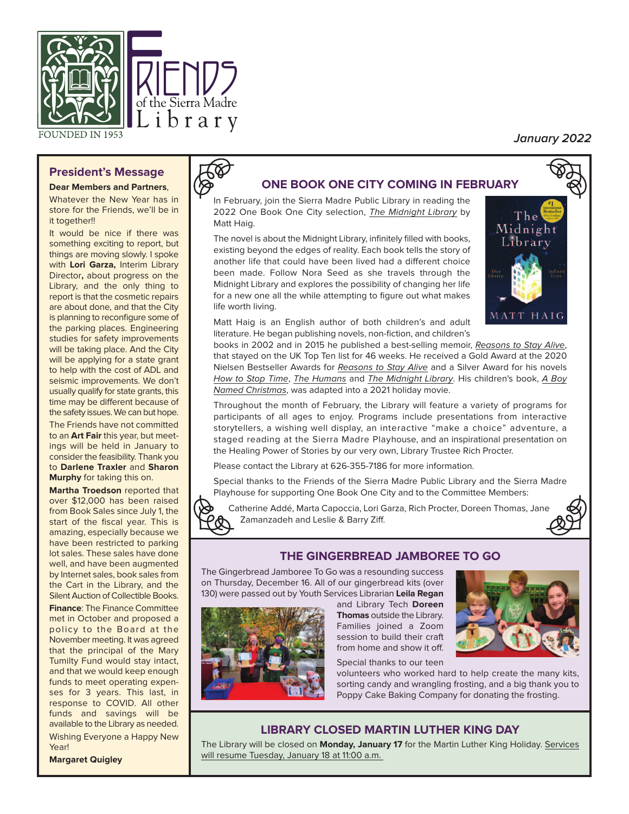

# **President's Message**

#### **Dear Members and Partners**,

Whatever the New Year has in store for the Friends, we'll be in it together!!

It would be nice if there was something exciting to report, but things are moving slowly. I spoke with **Lori Garza,** Interim Library Director**,** about progress on the Library, and the only thing to report is that the cosmetic repairs are about done, and that the City is planning to reconfigure some of the parking places. Engineering studies for safety improvements will be taking place. And the City will be applying for a state grant to help with the cost of ADL and seismic improvements. We don't usually qualify for state grants, this time may be different because of the safety issues. We can but hope. The Friends have not committed to an **Art Fair** this year, but meetings will be held in January to consider the feasibility. Thank you to **Darlene Traxler** and **Sharon**

**Murphy** for taking this on. **Martha Troedson** reported that over \$12,000 has been raised from Book Sales since July 1, the start of the fiscal year. This is amazing, especially because we have been restricted to parking lot sales. These sales have done well, and have been augmented by Internet sales, book sales from the Cart in the Library, and the Silent Auction of Collectible Books.

**Finance**: The Finance Committee met in October and proposed a policy to the Board at the November meeting. It was agreed that the principal of the Mary Tumilty Fund would stay intact, and that we would keep enough funds to meet operating expenses for 3 years. This last, in response to COVID. All other funds and savings will be available to the Library as needed. Wishing Everyone a Happy New

Year!



# **ONE BOOK ONE CITY COMING IN FEBRUARY**

In February, join the Sierra Madre Public Library in reading the 2022 One Book One City selection, The Midnight Library by Matt Haig.

The novel is about the Midnight Library, infinitely filled with books, existing beyond the edges of reality. Each book tells the story of another life that could have been lived had a different choice been made. Follow Nora Seed as she travels through the Midnight Library and explores the possibility of changing her life for a new one all the while attempting to figure out what makes life worth living.



**January 2022**

Matt Haig is an English author of both children's and adult literature. He began publishing novels, non-fiction, and children's

books in 2002 and in 2015 he published a best-selling memoir, Reasons to Stay Alive, that stayed on the UK Top Ten list for 46 weeks. He received a Gold Award at the 2020 Nielsen Bestseller Awards for Reasons to Stay Alive and a Silver Award for his novels How to Stop Time, The Humans and The Midnight Library. His children's book, A Boy Named Christmas, was adapted into a 2021 holiday movie.

Throughout the month of February, the Library will feature a variety of programs for participants of all ages to enjoy. Programs include presentations from interactive storytellers, a wishing well display, an interactive "make a choice" adventure, a staged reading at the Sierra Madre Play house, and an inspirational presentation on the Healing Power of Stories by our very own, Library Trustee Rich Procter.

Please contact the Library at 626-355-7186 for more information.

Special thanks to the Friends of the Sierra Madre Public Library and the Sierra Madre Playhouse for supporting One Book One City and to the Committee Members:

Catherine Addé, Marta Capoccia, Lori Garza, Rich Procter, Doreen Thomas, Jane Zamanzadeh and Leslie & Barry Ziff.



# **THE GINGERBREAD JAMBOREE TO GO**

The Gingerbread Jamboree To Go was a resounding success on Thursday, December 16. All of our gingerbread kits (over 130) were passed out by Youth Services Librarian **Leila Regan**



and Library Tech **Doreen Thomas** outside the Library. Families joined a Zoom session to build their craft from home and show it off.

Special thanks to our teen

volunteers who worked hard to help create the many kits, sorting candy and wrangling frosting, and a big thank you to Poppy Cake Baking Company for donating the frosting.

# **LIBRARY CLOSED MARTIN LUTHER KING DAY**

The Library will be closed on **Monday, January 17** for the Martin Luther King Holiday. Services will resume Tuesday, January 18 at 11:00 a.m.

**Margaret Quigley**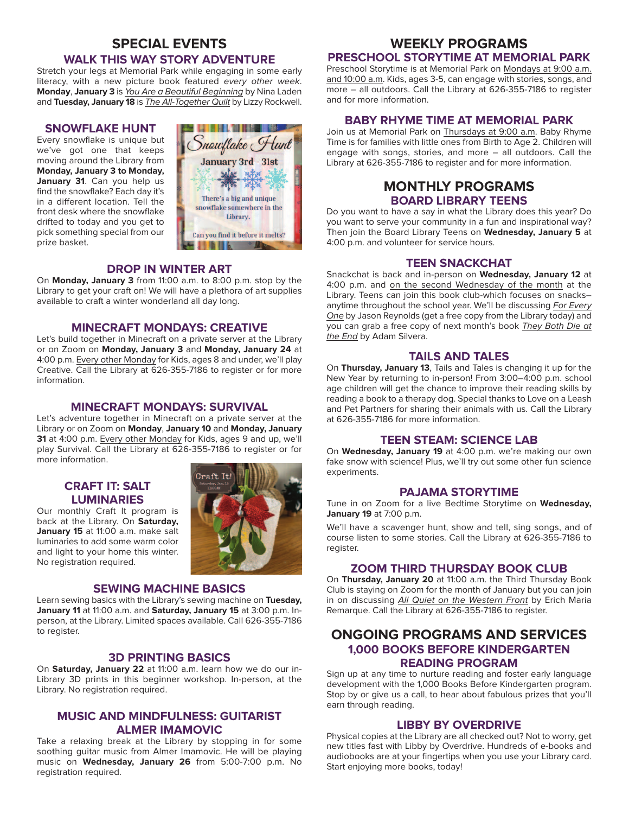# **SPECIAL EVENTS**

## **WALK THIS WAY STORY ADVENTURE**

Stretch your legs at Memorial Park while engaging in some early literacy, with a new picture book featured every other week. **Monday**, **January 3** is You Are a Beautiful Beginning by Nina Laden and **Tuesday, January 18** is The All-Together Quilt by Lizzy Rockwell.

#### **SNOWFLAKE HUNT**

Every snowflake is unique but we've got one that keeps moving around the Library from **Monday, January 3 to Monday, January 31**. Can you help us find the snowflake? Each day it's in a different location. Tell the front desk where the snowflake drifted to today and you get to pick something special from our prize basket.



#### **DROP IN WINTER ART**

On **Monday, January 3** from 11:00 a.m. to 8:00 p.m. stop by the Library to get your craft on! We will have a plethora of art supplies available to craft a winter wonderland all day long.

## **MINECRAFT MONDAYS: CREATIVE**

Let's build together in Minecraft on a private server at the Library or on Zoom on **Monday, January 3** and **Monday, January 24** at 4:00 p.m. Every other Monday for Kids, ages 8 and under, we'll play Creative. Call the Library at 626-355-7186 to register or for more information.

# **MINECRAFT MONDAYS: SURVIVAL**

Let's adventure together in Minecraft on a private server at the Library or on Zoom on **Monday**, **January 10** and **Monday, January 31** at 4:00 p.m. Every other Monday for Kids, ages 9 and up, we'll play Survival. Call the Library at 626-355-7186 to register or for more information.

# **CRAFT IT: SALT LUMINARIES**

Our monthly Craft It program is back at the Library. On **Saturday,** January 15 at 11:00 a.m. make salt luminaries to add some warm color and light to your home this winter. No registration required.



#### **SEWING MACHINE BASICS**

Learn sewing basics with the Library's sewing machine on **Tuesday, January 11** at 11:00 a.m. and **Saturday, January 15** at 3:00 p.m. Inperson, at the Library. Limited spaces available. Call 626-355-7186 to register.

### **3D PRINTING BASICS**

On **Saturday, January 22** at 11:00 a.m. learn how we do our in-Library 3D prints in this beginner workshop. In-person, at the Library. No registration required.

# **MUSIC AND MINDFULNESS: GUITARIST ALMER IMAMOVIC**

Take a relaxing break at the Library by stopping in for some soothing guitar music from Almer Imamovic. He will be playing music on **Wednesday, January 26** from 5:00-7:00 p.m. No registration required.

# **WEEKLY PROGRAMS**

# **PRESCHOOL STORYTIME AT MEMORIAL PARK**

Preschool Storytime is at Memorial Park on Mondays at 9:00 a.m. and 10:00 a.m. Kids, ages 3-5, can engage with stories, songs, and more – all outdoors. Call the Library at 626-355-7186 to register and for more information.

#### **BABY RHYME TIME AT MEMORIAL PARK**

Join us at Memorial Park on Thursdays at 9:00 a.m. Baby Rhyme Time is for families with little ones from Birth to Age 2. Children will engage with songs, stories, and more – all outdoors. Call the Library at 626-355-7186 to register and for more information.

# **MONTHLY PROGRAMS BOARD LIBRARY TEENS**

Do you want to have a say in what the Library does this year? Do you want to serve your community in a fun and inspirational way? Then join the Board Library Teens on **Wednesday, January 5** at 4:00 p.m. and volunteer for service hours.

#### **TEEN SNACKCHAT**

Snackchat is back and in-person on **Wednesday, January 12** at 4:00 p.m. and on the second Wednesday of the month at the Library. Teens can join this book club-which focuses on snacks– anytime throughout the school year. We'll be discussing For Every One by Jason Reynolds (get a free copy from the Library today) and you can grab a free copy of next month's book They Both Die at the End by Adam Silvera.

# **TAILS AND TALES**

On **Thursday, January 13**, Tails and Tales is changing it up for the New Year by returning to in-person! From 3:00–4:00 p.m. school age children will get the chance to improve their reading skills by reading a book to a therapy dog. Special thanks to Love on a Leash and Pet Partners for sharing their animals with us. Call the Library at 626-355-7186 for more information.

# **TEEN STEAM: SCIENCE LAB**

On **Wednesday, January 19** at 4:00 p.m. we're making our own fake snow with science! Plus, we'll try out some other fun science experiments.

#### **PAJAMA STORYTIME**

Tune in on Zoom for a live Bedtime Storytime on **Wednesday, January 19** at 7:00 p.m.

We'll have a scavenger hunt, show and tell, sing songs, and of course listen to some stories. Call the Library at 626-355-7186 to register.

#### **ZOOM THIRD THURSDAY BOOK CLUB**

On **Thursday, January 20** at 11:00 a.m. the Third Thursday Book Club is staying on Zoom for the month of January but you can join in on discussing All Quiet on the Western Front by Erich Maria Remarque. Call the Library at 626-355-7186 to register.

# **ONGOING PROGRAMS AND SERVICES 1,000 BOOKS BEFORE KINDERGARTEN READING PROGRAM**

Sign up at any time to nurture reading and foster early language development with the 1,000 Books Before Kindergarten program. Stop by or give us a call, to hear about fabulous prizes that you'll earn through reading.

## **LIBBY BY OVERDRIVE**

Physical copies at the Library are all checked out? Not to worry, get new titles fast with Libby by Overdrive. Hundreds of e-books and audiobooks are at your fingertips when you use your Library card. Start enjoying more books, today!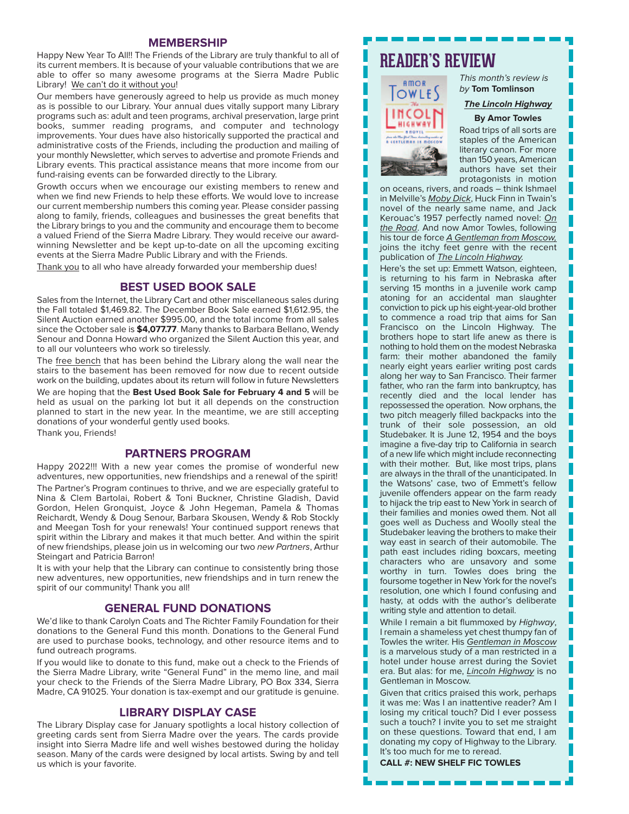#### **MEMBERSHIP**

Happy New Year To All!! The Friends of the Library are truly thankful to all of its current members. It is because of your valuable contributions that we are able to offer so many awesome programs at the Sierra Madre Public Library! We can't do it without you!

Our members have generously agreed to help us provide as much money as is possible to our Library. Your annual dues vitally support many Library programs such as: adult and teen programs, archival preservation, large print books, summer reading programs, and computer and technology improvements. Your dues have also historically supported the practical and administrative costs of the Friends, including the production and mailing of your monthly Newsletter, which serves to advertise and promote Friends and Library events. This practical assistance means that more income from our fund-raising events can be forwarded directly to the Library.

Growth occurs when we encourage our existing members to renew and when we find new Friends to help these efforts. We would love to increase our current membership numbers this coming year. Please consider passing along to family, friends, colleagues and businesses the great benefits that the Library brings to you and the community and encourage them to become a valued Friend of the Sierra Madre Library. They would receive our awardwinning Newsletter and be kept up-to-date on all the upcoming exciting events at the Sierra Madre Public Library and with the Friends.

Thank you to all who have already forwarded your membership dues!

#### **BEST USED BOOK SALE**

Sales from the Internet, the Library Cart and other miscellaneous sales during the Fall totaled \$1,469.82. The December Book Sale earned \$1,612.95, the Silent Auction earned another \$995.00, and the total income from all sales since the October sale is **\$4,077.77**. Many thanks to Barbara Bellano, Wendy Senour and Donna Howard who organized the Silent Auction this year, and to all our volunteers who work so tirelessly.

The free bench that has been behind the Library along the wall near the stairs to the basement has been removed for now due to recent outside work on the building, updates about its return will follow in future Newsletters

We are hoping that the **Best Used Book Sale for February 4 and 5** will be held as usual on the parking lot but it all depends on the construction planned to start in the new year. In the meantime, we are still accepting donations of your wonderful gently used books.

Thank you, Friends!

# **PARTNERS PROGRAM**

Happy 2022!!! With a new year comes the promise of wonderful new adventures, new opportunities, new friendships and a renewal of the spirit! The Partner's Program continues to thrive, and we are especially grateful to Nina & Clem Bartolai, Robert & Toni Buckner, Christine Gladish, David Gordon, Helen Gronquist, Joyce & John Hegeman, Pamela & Thomas Reichardt, Wendy & Doug Senour, Barbara Skousen, Wendy & Rob Stockly and Meegan Tosh for your renewals! Your continued support renews that spirit within the Library and makes it that much better. And within the spirit of new friendships, please join us in welcoming our two new Partners, Arthur Steingart and Patricia Barron!

It is with your help that the Library can continue to consistently bring those new adventures, new opportunities, new friendships and in turn renew the spirit of our community! Thank you all!

#### **GENERAL FUND DONATIONS**

We'd like to thank Carolyn Coats and The Richter Family Foundation for their donations to the General Fund this month. Donations to the General Fund are used to purchase books, technology, and other resource items and to fund outreach programs.

If you would like to donate to this fund, make out a check to the Friends of the Sierra Madre Library, write "General Fund" in the memo line, and mail your check to the Friends of the Sierra Madre Library, PO Box 334, Sierra Madre, CA 91025. Your donation is tax-exempt and our gratitude is genuine.

# **LIBRARY DISPLAY CASE**

The Library Display case for January spotlights a local history collection of greeting cards sent from Sierra Madre over the years. The cards provide insight into Sierra Madre life and well wishes bestowed during the holiday season. Many of the cards were designed by local artists. Swing by and tell us which is your favorite.

# **READER'S REVIEW**



This month's review is by **Tom Tomlinson**

# **The Lincoln Highway By Amor Towles**

Road trips of all sorts are staples of the American literary canon. For more than 150 years, American authors have set their protagonists in motion

on oceans, rivers, and roads – think Ishmael in Melville's Moby Dick, Huck Finn in Twain's novel of the nearly same name, and Jack Kerouac's 1957 perfectly named novel: On the Road. And now Amor Towles, following his tour de force A Gentleman from Moscow, joins the itchy feet genre with the recent publication of The Lincoln Highway.

Here's the set up: Emmett Watson, eighteen, is returning to his farm in Nebraska after serving 15 months in a juvenile work camp atoning for an accidental man slaughter conviction to pick up his eight-year-old brother to commence a road trip that aims for San Francisco on the Lincoln Highway. The brothers hope to start life anew as there is nothing to hold them on the modest Nebraska farm: their mother abandoned the family nearly eight years earlier writing post cards along her way to San Francisco. Their farmer father, who ran the farm into bankruptcy, has recently died and the local lender has repossessed the operation. Now orphans, the two pitch meagerly filled backpacks into the trunk of their sole possession, an old Studebaker. It is June 12, 1954 and the boys imagine a five-day trip to California in search of a new life which might include reconnecting with their mother. But, like most trips, plans are always in the thrall of the unanticipated. In the Watsons' case, two of Emmett's fellow juvenile offenders appear on the farm ready to hijack the trip east to New York in search of their families and monies owed them. Not all goes well as Duchess and Woolly steal the Studebaker leaving the brothers to make their way east in search of their automobile. The path east includes riding boxcars, meeting characters who are unsavory and some worthy in turn. Towles does bring the foursome together in New York for the novel's resolution, one which I found confusing and hasty, at odds with the author's deliberate writing style and attention to detail.

While I remain a bit flummoxed by Highway, I remain a shameless yet chest thumpy fan of Towles the writer. His Gentleman in Moscow is a marvelous study of a man restricted in a hotel under house arrest during the Soviet era. But alas: for me, *Lincoln Highway* is no Gentleman in Moscow.

Given that critics praised this work, perhaps it was me: Was I an inattentive reader? Am I losing my critical touch? Did I ever possess such a touch? I invite you to set me straight on these questions. Toward that end, I am donating my copy of Highway to the Library. It's too much for me to reread.

**CALL #: NEW SHELF FIC TOWLES**